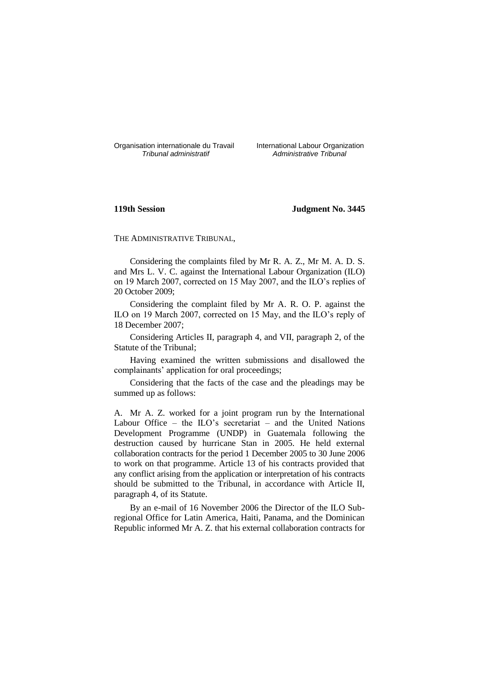Organisation internationale du Travail International Labour Organization<br>*Tribunal administratif Administrative Tribunal* 

*Tribunal administratif Administrative Tribunal*

# **119th Session Judgment No. 3445**

THE ADMINISTRATIVE TRIBUNAL,

Considering the complaints filed by Mr R. A. Z., Mr M. A. D. S. and Mrs L. V. C. against the International Labour Organization (ILO) on 19 March 2007, corrected on 15 May 2007, and the ILO's replies of 20 October 2009;

Considering the complaint filed by Mr A. R. O. P. against the ILO on 19 March 2007, corrected on 15 May, and the ILO's reply of 18 December 2007;

Considering Articles II, paragraph 4, and VII, paragraph 2, of the Statute of the Tribunal;

Having examined the written submissions and disallowed the complainants' application for oral proceedings;

Considering that the facts of the case and the pleadings may be summed up as follows:

A. Mr A. Z. worked for a joint program run by the International Labour Office – the ILO's secretariat – and the United Nations Development Programme (UNDP) in Guatemala following the destruction caused by hurricane Stan in 2005. He held external collaboration contracts for the period 1 December 2005 to 30 June 2006 to work on that programme. Article 13 of his contracts provided that any conflict arising from the application or interpretation of his contracts should be submitted to the Tribunal, in accordance with Article II, paragraph 4, of its Statute.

By an e-mail of 16 November 2006 the Director of the ILO Subregional Office for Latin America, Haiti, Panama, and the Dominican Republic informed Mr A. Z. that his external collaboration contracts for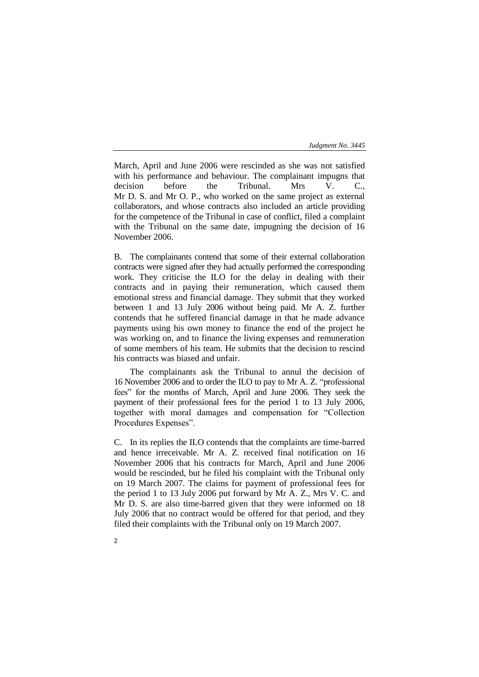March, April and June 2006 were rescinded as she was not satisfied with his performance and behaviour. The complainant impugns that decision before the Tribunal. Mrs V. C., Mr D. S. and Mr O. P., who worked on the same project as external collaborators, and whose contracts also included an article providing for the competence of the Tribunal in case of conflict, filed a complaint with the Tribunal on the same date, impugning the decision of 16 November 2006.

B. The complainants contend that some of their external collaboration contracts were signed after they had actually performed the corresponding work. They criticise the ILO for the delay in dealing with their contracts and in paying their remuneration, which caused them emotional stress and financial damage. They submit that they worked between 1 and 13 July 2006 without being paid. Mr A. Z. further contends that he suffered financial damage in that he made advance payments using his own money to finance the end of the project he was working on, and to finance the living expenses and remuneration of some members of his team. He submits that the decision to rescind his contracts was biased and unfair.

The complainants ask the Tribunal to annul the decision of 16 November 2006 and to order the ILO to pay to Mr A. Z. "professional fees" for the months of March, April and June 2006. They seek the payment of their professional fees for the period 1 to 13 July 2006, together with moral damages and compensation for "Collection Procedures Expenses".

C. In its replies the ILO contends that the complaints are time-barred and hence irreceivable. Mr A. Z. received final notification on 16 November 2006 that his contracts for March, April and June 2006 would be rescinded, but he filed his complaint with the Tribunal only on 19 March 2007. The claims for payment of professional fees for the period 1 to 13 July 2006 put forward by Mr A. Z., Mrs V. C. and Mr D. S. are also time-barred given that they were informed on 18 July 2006 that no contract would be offered for that period, and they filed their complaints with the Tribunal only on 19 March 2007.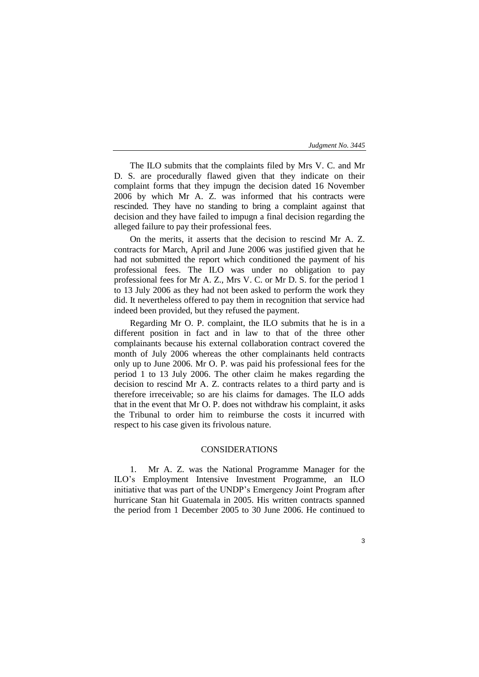The ILO submits that the complaints filed by Mrs V. C. and Mr D. S. are procedurally flawed given that they indicate on their complaint forms that they impugn the decision dated 16 November 2006 by which Mr A. Z. was informed that his contracts were rescinded. They have no standing to bring a complaint against that decision and they have failed to impugn a final decision regarding the alleged failure to pay their professional fees.

On the merits, it asserts that the decision to rescind Mr A. Z. contracts for March, April and June 2006 was justified given that he had not submitted the report which conditioned the payment of his professional fees. The ILO was under no obligation to pay professional fees for Mr A. Z., Mrs V. C. or Mr D. S. for the period 1 to 13 July 2006 as they had not been asked to perform the work they did. It nevertheless offered to pay them in recognition that service had indeed been provided, but they refused the payment.

Regarding Mr O. P. complaint, the ILO submits that he is in a different position in fact and in law to that of the three other complainants because his external collaboration contract covered the month of July 2006 whereas the other complainants held contracts only up to June 2006. Mr O. P. was paid his professional fees for the period 1 to 13 July 2006. The other claim he makes regarding the decision to rescind Mr A. Z. contracts relates to a third party and is therefore irreceivable; so are his claims for damages. The ILO adds that in the event that Mr O. P. does not withdraw his complaint, it asks the Tribunal to order him to reimburse the costs it incurred with respect to his case given its frivolous nature.

## CONSIDERATIONS

1. Mr A. Z. was the National Programme Manager for the ILO's Employment Intensive Investment Programme, an ILO initiative that was part of the UNDP's Emergency Joint Program after hurricane Stan hit Guatemala in 2005. His written contracts spanned the period from 1 December 2005 to 30 June 2006. He continued to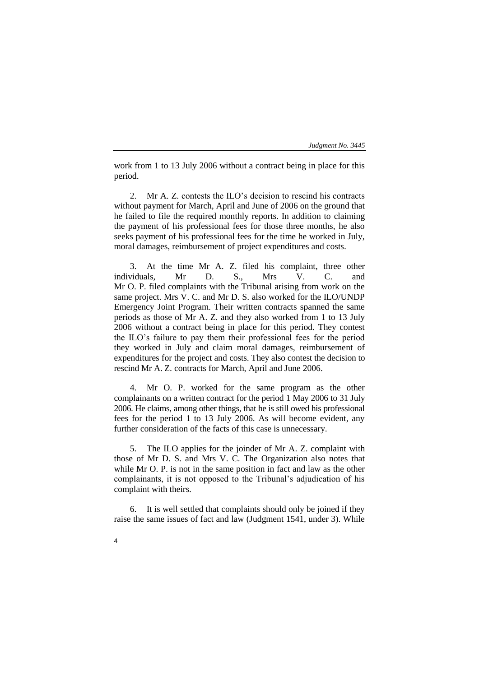work from 1 to 13 July 2006 without a contract being in place for this period.

2. Mr A. Z. contests the ILO's decision to rescind his contracts without payment for March, April and June of 2006 on the ground that he failed to file the required monthly reports. In addition to claiming the payment of his professional fees for those three months, he also seeks payment of his professional fees for the time he worked in July, moral damages, reimbursement of project expenditures and costs.

3. At the time Mr A. Z. filed his complaint, three other individuals, Mr D. S., Mrs V. C. and Mr O. P. filed complaints with the Tribunal arising from work on the same project. Mrs V. C. and Mr D. S. also worked for the ILO/UNDP Emergency Joint Program. Their written contracts spanned the same periods as those of Mr A. Z. and they also worked from 1 to 13 July 2006 without a contract being in place for this period. They contest the ILO's failure to pay them their professional fees for the period they worked in July and claim moral damages, reimbursement of expenditures for the project and costs. They also contest the decision to rescind Mr A. Z. contracts for March, April and June 2006.

4. Mr O. P. worked for the same program as the other complainants on a written contract for the period 1 May 2006 to 31 July 2006. He claims, among other things, that he is still owed his professional fees for the period 1 to 13 July 2006. As will become evident, any further consideration of the facts of this case is unnecessary.

5. The ILO applies for the joinder of Mr A. Z. complaint with those of Mr D. S. and Mrs V. C. The Organization also notes that while Mr O. P. is not in the same position in fact and law as the other complainants, it is not opposed to the Tribunal's adjudication of his complaint with theirs.

6. It is well settled that complaints should only be joined if they raise the same issues of fact and law (Judgment 1541, under 3). While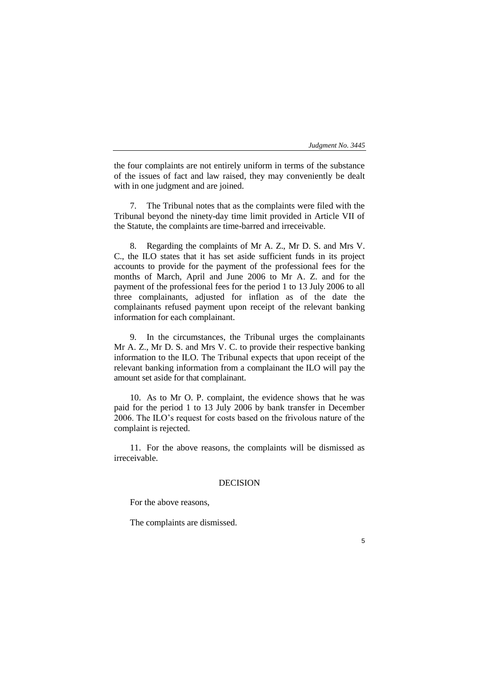the four complaints are not entirely uniform in terms of the substance of the issues of fact and law raised, they may conveniently be dealt with in one judgment and are joined.

7. The Tribunal notes that as the complaints were filed with the Tribunal beyond the ninety-day time limit provided in Article VII of the Statute, the complaints are time-barred and irreceivable.

8. Regarding the complaints of Mr A. Z., Mr D. S. and Mrs V. C., the ILO states that it has set aside sufficient funds in its project accounts to provide for the payment of the professional fees for the months of March, April and June 2006 to Mr A. Z. and for the payment of the professional fees for the period 1 to 13 July 2006 to all three complainants, adjusted for inflation as of the date the complainants refused payment upon receipt of the relevant banking information for each complainant.

9. In the circumstances, the Tribunal urges the complainants Mr A. Z., Mr D. S. and Mrs V. C. to provide their respective banking information to the ILO. The Tribunal expects that upon receipt of the relevant banking information from a complainant the ILO will pay the amount set aside for that complainant.

10. As to Mr O. P. complaint, the evidence shows that he was paid for the period 1 to 13 July 2006 by bank transfer in December 2006. The ILO's request for costs based on the frivolous nature of the complaint is rejected.

11. For the above reasons, the complaints will be dismissed as irreceivable.

## DECISION

For the above reasons,

The complaints are dismissed.